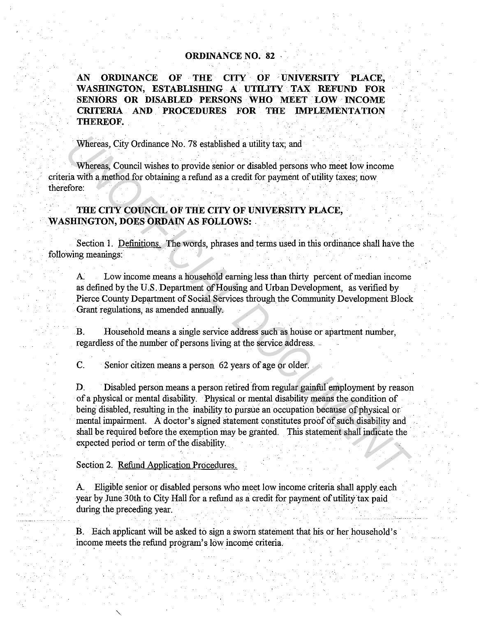## **ORDINANCE NO. 82**

AN ORDINANCE OF THE CITY OF UNIVERSITY PLACE, **WASHINGTON, ESTABLISHING A UTILITY TAX REFUND FOR SENIORS OR DISABLED PERSONS WHO MEET . LOW · INCOME CRITERIA AND . PROCEDURES FOR THE IMPLEMENTATION THEREOF.** 

Whereas, City Ordinance No. 78 established a utility tax; and

Whereas, Council wishes to provide senior or disabled persons who meet low income criteria with a method for obtaining a refund as a credit for payment of utility taxes; now therefore:

## **THE CITY COUNCIL OF THE CITY OF UNIVERSITY PLACE,**  WASHINGTON, DOES ORDAIN AS FOLLOWS:

Section 1. Definitions. The words, phrases and terms used in this ordinance shall have the following meanings:

A. Low income means a household earning less than thirty percent of median income as defined by the U.S. Department of Housing and Urban Development, as verified by Pierce County Department of Social Services through the Community Development Block Grant regulations, as amended annually.

B. Household means a single service address such as house or apartment number, regardless of the number of persons living at the service address.

C. Senior citizen means a person 62 years of age or older.

D. Disabled person means a person retired from regular gainful employment by reason of a physical or mental disability. Physical or mental disability means the condition of being disabled, resulting in the inability to pursue an occupation because of physical or mental impairment. A doctor's signed statement constitutes proof of such disability and shall be required before the exemption may be granted. This statement shall indicate the expected period or term of the disability. Whereas, City Ordinance No. 78 established a utility tax, and<br>
Whereas, Council wishes to provide senior or disabled persons who meet low income<br>
ria with a method for obtaining a refund as a credit for payment of utility

Section 2. Refund Application Procedures.

A. Eligible senior or disabled persons who meet low income criteria shall apply each year by June 30th to City Hall for a refund as a credit for payment of utility tax paid during the preceding year.

B. Each applicant will be asked to sign a sworn statement that his or her household's income meets the refund program's low income criteria.